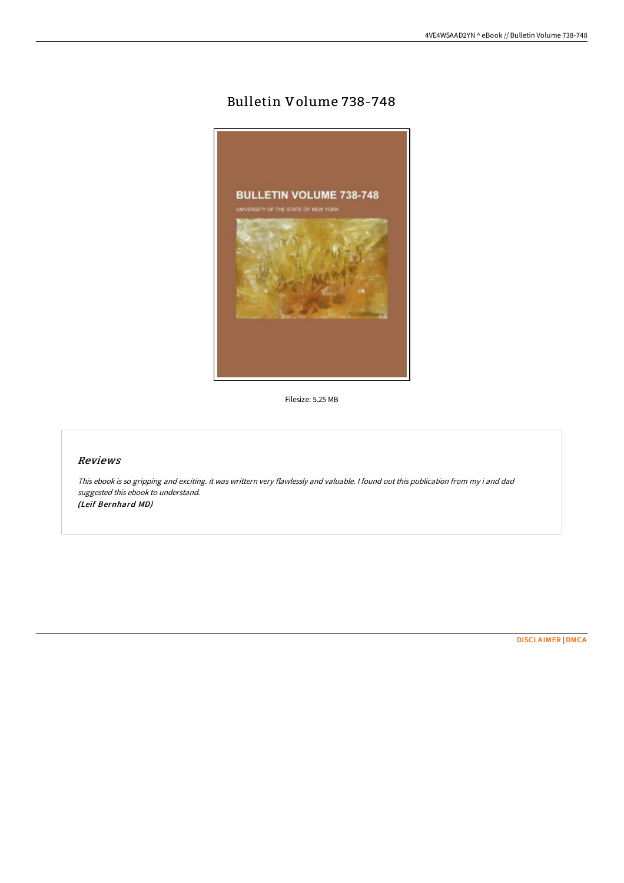# Bulletin Volume 738-748



Filesize: 5.25 MB

## Reviews

This ebook is so gripping and exciting. it was writtern very flawlessly and valuable. <sup>I</sup> found out this publication from my i and dad suggested this ebook to understand. (Leif Bernhard MD)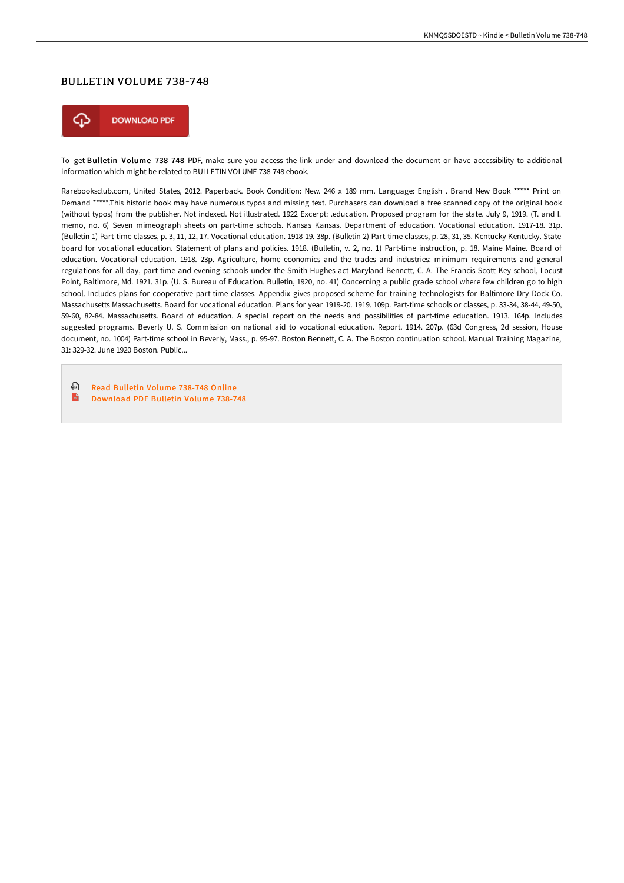#### BULLETIN VOLUME 738-748



To get Bulletin Volume 738-748 PDF, make sure you access the link under and download the document or have accessibility to additional information which might be related to BULLETIN VOLUME 738-748 ebook.

Rarebooksclub.com, United States, 2012. Paperback. Book Condition: New. 246 x 189 mm. Language: English . Brand New Book \*\*\*\*\* Print on Demand \*\*\*\*\*.This historic book may have numerous typos and missing text. Purchasers can download a free scanned copy of the original book (without typos) from the publisher. Not indexed. Not illustrated. 1922 Excerpt: .education. Proposed program for the state. July 9, 1919. (T. and I. memo, no. 6) Seven mimeograph sheets on part-time schools. Kansas Kansas. Department of education. Vocational education. 1917-18. 31p. (Bulletin 1) Part-time classes, p. 3, 11, 12, 17. Vocational education. 1918-19. 38p. (Bulletin 2) Part-time classes, p. 28, 31, 35. Kentucky Kentucky. State board for vocational education. Statement of plans and policies. 1918. (Bulletin, v. 2, no. 1) Part-time instruction, p. 18. Maine Maine. Board of education. Vocational education. 1918. 23p. Agriculture, home economics and the trades and industries: minimum requirements and general regulations for all-day, part-time and evening schools under the Smith-Hughes act Maryland Bennett, C. A. The Francis Scott Key school, Locust Point, Baltimore, Md. 1921. 31p. (U. S. Bureau of Education. Bulletin, 1920, no. 41) Concerning a public grade school where few children go to high school. Includes plans for cooperative part-time classes. Appendix gives proposed scheme for training technologists for Baltimore Dry Dock Co. Massachusetts Massachusetts. Board for vocational education. Plans for year 1919-20. 1919. 109p. Part-time schools or classes, p. 33-34, 38-44, 49-50, 59-60, 82-84. Massachusetts. Board of education. A special report on the needs and possibilities of part-time education. 1913. 164p. Includes suggested programs. Beverly U. S. Commission on national aid to vocational education. Report. 1914. 207p. (63d Congress, 2d session, House document, no. 1004) Part-time school in Beverly, Mass., p. 95-97. Boston Bennett, C. A. The Boston continuation school. Manual Training Magazine, 31: 329-32. June 1920 Boston. Public...

品 Read [Bulletin](http://www.bookdirs.com/bulletin-volume-738-748-paperback.html) Volume 738-748 Online

 $\mathbf{m}$ [Download](http://www.bookdirs.com/bulletin-volume-738-748-paperback.html) PDF Bulletin Volume 738-748